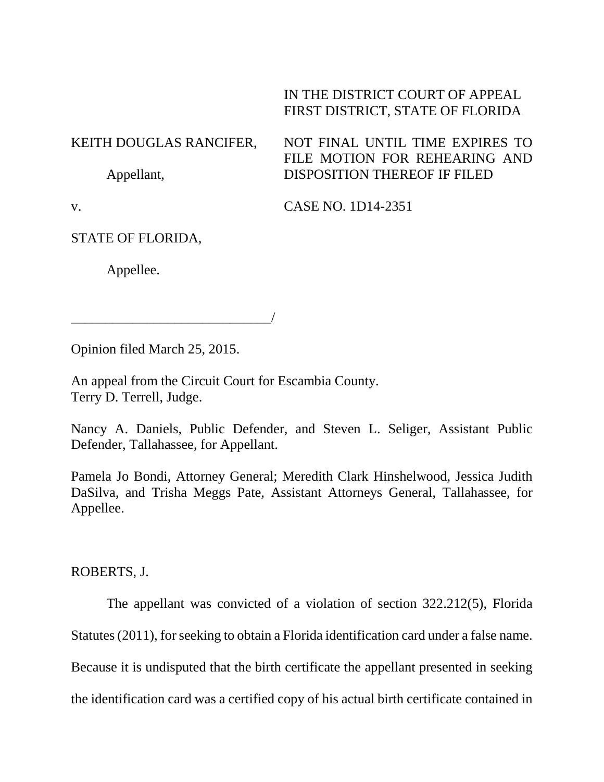## IN THE DISTRICT COURT OF APPEAL FIRST DISTRICT, STATE OF FLORIDA

## KEITH DOUGLAS RANCIFER, Appellant, NOT FINAL UNTIL TIME EXPIRES TO FILE MOTION FOR REHEARING AND DISPOSITION THEREOF IF FILED

v.

CASE NO. 1D14-2351

STATE OF FLORIDA,

Appellee.

Opinion filed March 25, 2015.

\_\_\_\_\_\_\_\_\_\_\_\_\_\_\_\_\_\_\_\_\_\_\_\_\_\_\_\_\_/

An appeal from the Circuit Court for Escambia County. Terry D. Terrell, Judge.

Nancy A. Daniels, Public Defender, and Steven L. Seliger, Assistant Public Defender, Tallahassee, for Appellant.

Pamela Jo Bondi, Attorney General; Meredith Clark Hinshelwood, Jessica Judith DaSilva, and Trisha Meggs Pate, Assistant Attorneys General, Tallahassee, for Appellee.

ROBERTS, J.

The appellant was convicted of a violation of section 322.212(5), Florida

Statutes (2011), for seeking to obtain a Florida identification card under a false name.

Because it is undisputed that the birth certificate the appellant presented in seeking

the identification card was a certified copy of his actual birth certificate contained in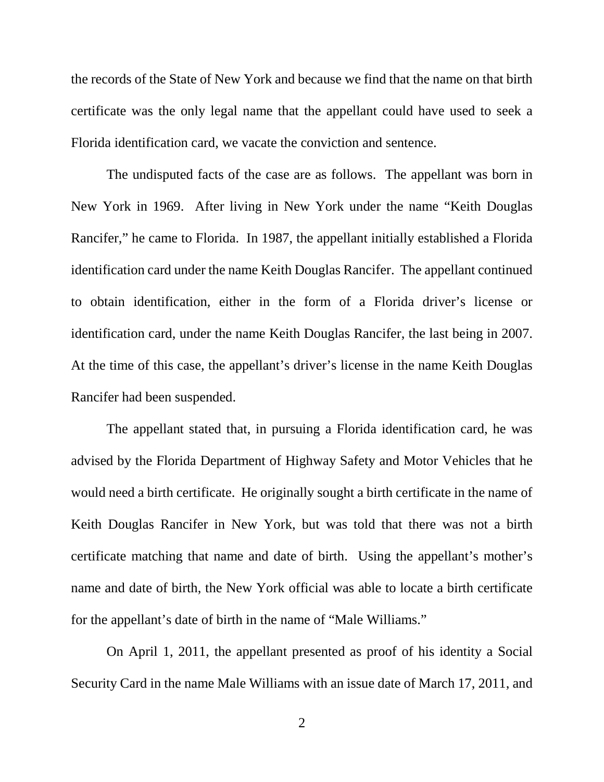the records of the State of New York and because we find that the name on that birth certificate was the only legal name that the appellant could have used to seek a Florida identification card, we vacate the conviction and sentence.

The undisputed facts of the case are as follows. The appellant was born in New York in 1969. After living in New York under the name "Keith Douglas Rancifer," he came to Florida. In 1987, the appellant initially established a Florida identification card under the name Keith Douglas Rancifer. The appellant continued to obtain identification, either in the form of a Florida driver's license or identification card, under the name Keith Douglas Rancifer, the last being in 2007. At the time of this case, the appellant's driver's license in the name Keith Douglas Rancifer had been suspended.

The appellant stated that, in pursuing a Florida identification card, he was advised by the Florida Department of Highway Safety and Motor Vehicles that he would need a birth certificate. He originally sought a birth certificate in the name of Keith Douglas Rancifer in New York, but was told that there was not a birth certificate matching that name and date of birth. Using the appellant's mother's name and date of birth, the New York official was able to locate a birth certificate for the appellant's date of birth in the name of "Male Williams."

On April 1, 2011, the appellant presented as proof of his identity a Social Security Card in the name Male Williams with an issue date of March 17, 2011, and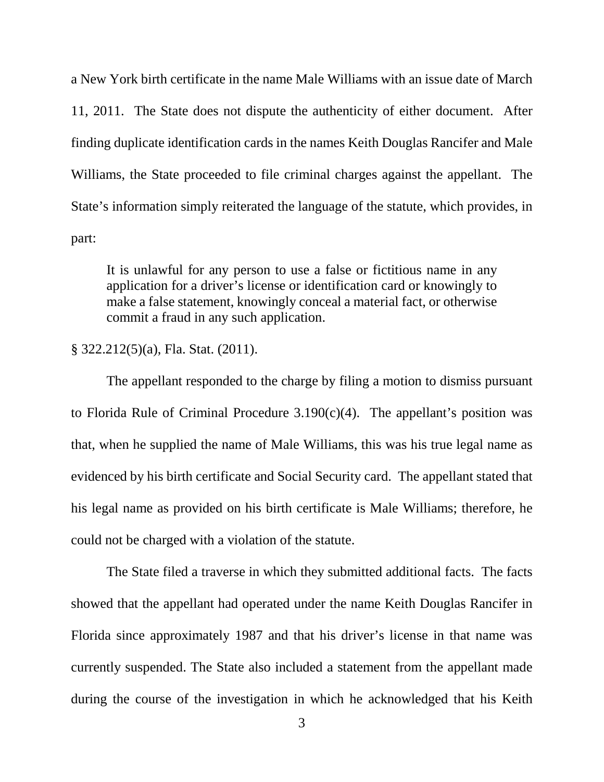a New York birth certificate in the name Male Williams with an issue date of March 11, 2011. The State does not dispute the authenticity of either document. After finding duplicate identification cards in the names Keith Douglas Rancifer and Male Williams, the State proceeded to file criminal charges against the appellant. The State's information simply reiterated the language of the statute, which provides, in part:

It is unlawful for any person to use a false or fictitious name in any application for a driver's license or identification card or knowingly to make a false statement, knowingly conceal a material fact, or otherwise commit a fraud in any such application.

## § 322.212(5)(a), Fla. Stat. (2011).

The appellant responded to the charge by filing a motion to dismiss pursuant to Florida Rule of Criminal Procedure  $3.190(c)(4)$ . The appellant's position was that, when he supplied the name of Male Williams, this was his true legal name as evidenced by his birth certificate and Social Security card. The appellant stated that his legal name as provided on his birth certificate is Male Williams; therefore, he could not be charged with a violation of the statute.

The State filed a traverse in which they submitted additional facts. The facts showed that the appellant had operated under the name Keith Douglas Rancifer in Florida since approximately 1987 and that his driver's license in that name was currently suspended. The State also included a statement from the appellant made during the course of the investigation in which he acknowledged that his Keith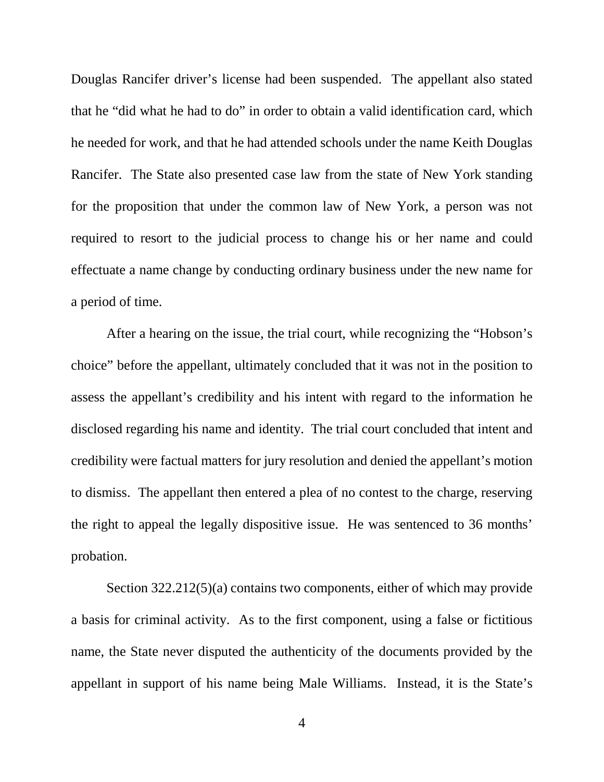Douglas Rancifer driver's license had been suspended. The appellant also stated that he "did what he had to do" in order to obtain a valid identification card, which he needed for work, and that he had attended schools under the name Keith Douglas Rancifer. The State also presented case law from the state of New York standing for the proposition that under the common law of New York, a person was not required to resort to the judicial process to change his or her name and could effectuate a name change by conducting ordinary business under the new name for a period of time.

After a hearing on the issue, the trial court, while recognizing the "Hobson's choice" before the appellant, ultimately concluded that it was not in the position to assess the appellant's credibility and his intent with regard to the information he disclosed regarding his name and identity. The trial court concluded that intent and credibility were factual matters for jury resolution and denied the appellant's motion to dismiss. The appellant then entered a plea of no contest to the charge, reserving the right to appeal the legally dispositive issue. He was sentenced to 36 months' probation.

Section 322.212(5)(a) contains two components, either of which may provide a basis for criminal activity. As to the first component, using a false or fictitious name, the State never disputed the authenticity of the documents provided by the appellant in support of his name being Male Williams. Instead, it is the State's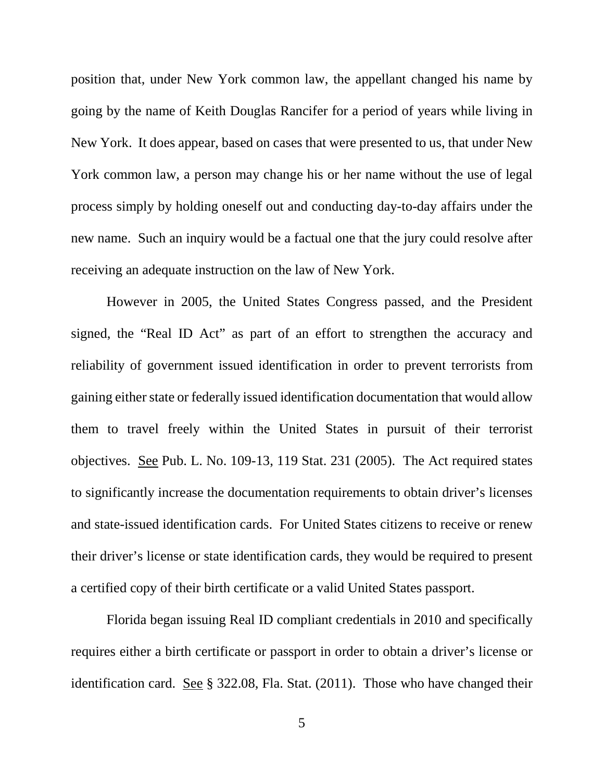position that, under New York common law, the appellant changed his name by going by the name of Keith Douglas Rancifer for a period of years while living in New York. It does appear, based on cases that were presented to us, that under New York common law, a person may change his or her name without the use of legal process simply by holding oneself out and conducting day-to-day affairs under the new name. Such an inquiry would be a factual one that the jury could resolve after receiving an adequate instruction on the law of New York.

However in 2005, the United States Congress passed, and the President signed, the "Real ID Act" as part of an effort to strengthen the accuracy and reliability of government issued identification in order to prevent terrorists from gaining either state or federally issued identification documentation that would allow them to travel freely within the United States in pursuit of their terrorist objectives. See Pub. L. No. 109-13, 119 Stat. 231 (2005). The Act required states to significantly increase the documentation requirements to obtain driver's licenses and state-issued identification cards. For United States citizens to receive or renew their driver's license or state identification cards, they would be required to present a certified copy of their birth certificate or a valid United States passport.

Florida began issuing Real ID compliant credentials in 2010 and specifically requires either a birth certificate or passport in order to obtain a driver's license or identification card. See § 322.08, Fla. Stat. (2011). Those who have changed their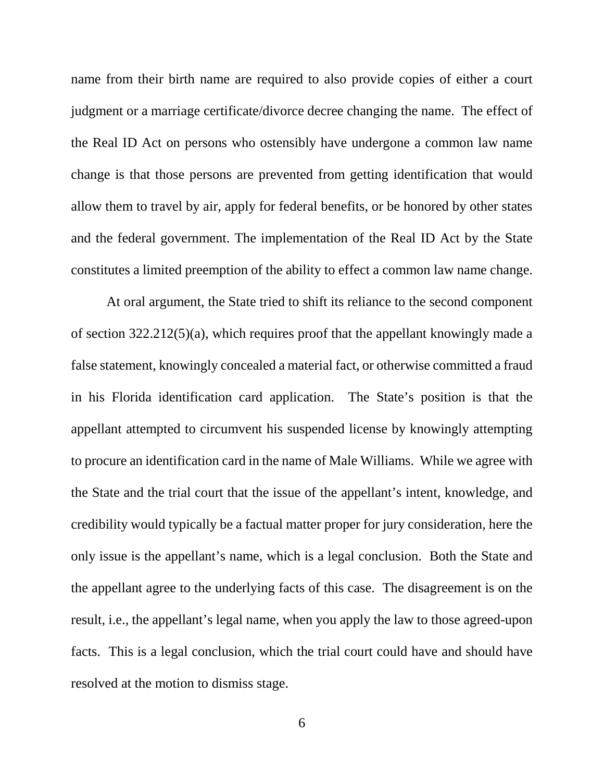name from their birth name are required to also provide copies of either a court judgment or a marriage certificate/divorce decree changing the name. The effect of the Real ID Act on persons who ostensibly have undergone a common law name change is that those persons are prevented from getting identification that would allow them to travel by air, apply for federal benefits, or be honored by other states and the federal government. The implementation of the Real ID Act by the State constitutes a limited preemption of the ability to effect a common law name change.

At oral argument, the State tried to shift its reliance to the second component of section 322.212(5)(a), which requires proof that the appellant knowingly made a false statement, knowingly concealed a material fact, or otherwise committed a fraud in his Florida identification card application. The State's position is that the appellant attempted to circumvent his suspended license by knowingly attempting to procure an identification card in the name of Male Williams. While we agree with the State and the trial court that the issue of the appellant's intent, knowledge, and credibility would typically be a factual matter proper for jury consideration, here the only issue is the appellant's name, which is a legal conclusion. Both the State and the appellant agree to the underlying facts of this case. The disagreement is on the result, i.e., the appellant's legal name, when you apply the law to those agreed-upon facts. This is a legal conclusion, which the trial court could have and should have resolved at the motion to dismiss stage.